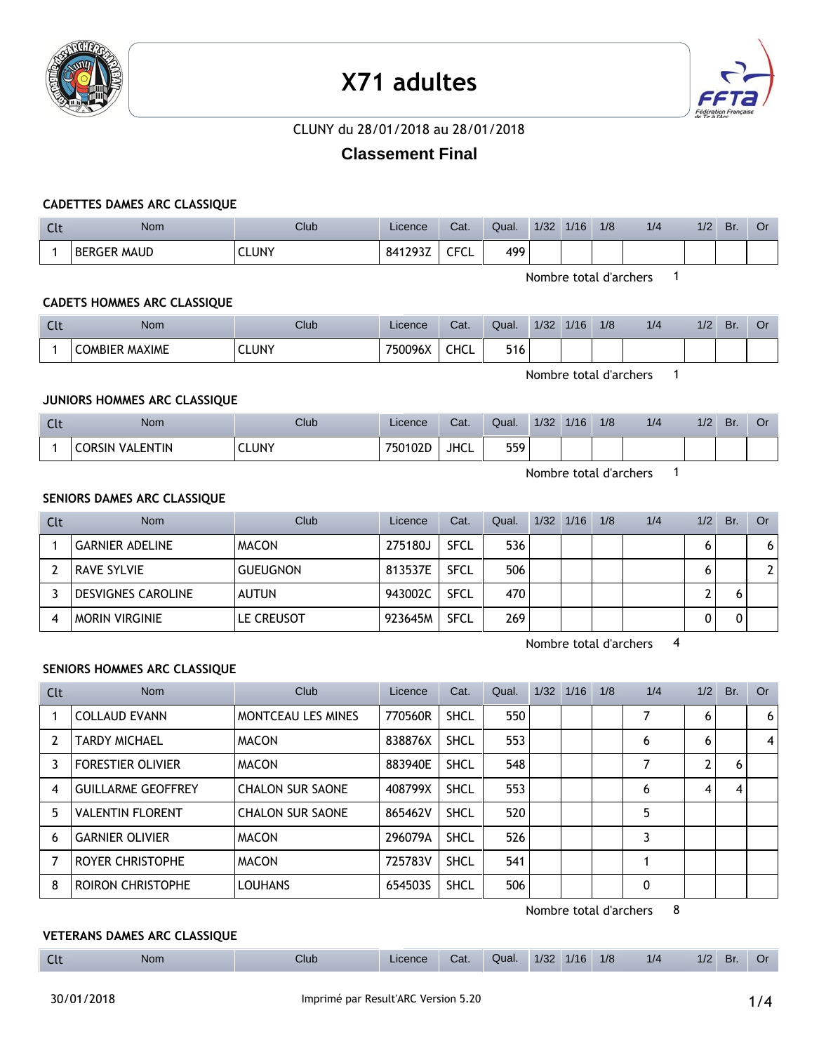

# **X71 adultes**



## CLUNY du 28/01/2018 au 28/01/2018

# **Classement Final**

#### **CADETTES DAMES ARC CLASSIQUE**

| Clt | <b>Nom</b>         | Club         | Licence | Cat. | Qual. | 1/32 | 1/16 | 1/8 | 1/4 | 1/2 | Br. | Οı |
|-----|--------------------|--------------|---------|------|-------|------|------|-----|-----|-----|-----|----|
|     | <b>BERGER MAUD</b> | <b>CLUNY</b> | 841293Z | TFCL | 499   |      |      |     |     |     |     |    |

Nombre total d'archers 1

## **CADETS HOMMES ARC CLASSIQUE**

| $\sim$<br>นเ | <b>Nom</b>            | Club            | Licence | Cat. | Qual. | 1/32 | 1/16 | 1/8 | 1/4 | 1/2 | Br. | Ő٢ |
|--------------|-----------------------|-----------------|---------|------|-------|------|------|-----|-----|-----|-----|----|
|              | <b>COMBIER MAXIME</b> | CLUNY<br>$\sim$ | 750096X | CHCL | 516   |      |      |     |     |     |     |    |

Nombre total d'archers 1

### **JUNIORS HOMMES ARC CLASSIQUE**

| ີ | <b>Nom</b>                  | Club  | Licence | Cat. | Qual. | 1/32 | 1/16 | 1/8 | 1/4 | 11 <sup>7</sup><br>72 | Br. | UI |
|---|-----------------------------|-------|---------|------|-------|------|------|-----|-----|-----------------------|-----|----|
|   | <b>CORSIN</b><br>I VALENTIN | CLUNY | 750102D | JHCL | 559   |      |      |     |     |                       |     |    |

Nombre total d'archers 1

#### **SENIORS DAMES ARC CLASSIQUE**

| Clt | <b>Nom</b>                | Club            | Licence | Cat.        | Qual. | 1/32 | 1/16 | 1/8 | 1/4 | 1/2 | Br. | Or . |
|-----|---------------------------|-----------------|---------|-------------|-------|------|------|-----|-----|-----|-----|------|
|     | <b>GARNIER ADELINE</b>    | <b>MACON</b>    | 275180J | <b>SFCL</b> | 536   |      |      |     |     |     |     | 6    |
|     | <b>RAVE SYLVIE</b>        | <b>GUEUGNON</b> | 813537E | <b>SFCL</b> | 506   |      |      |     |     |     |     |      |
|     | <b>DESVIGNES CAROLINE</b> | <b>AUTUN</b>    | 943002C | <b>SFCL</b> | 470   |      |      |     |     |     |     |      |
|     | <b>MORIN VIRGINIE</b>     | LE CREUSOT      | 923645M | <b>SFCL</b> | 269   |      |      |     |     |     |     |      |

Nombre total d'archers 4

#### **SENIORS HOMMES ARC CLASSIQUE**

| Clt | <b>Nom</b>                | Club                    | Licence | Cat.        | Qual. | $1/32$ $1/16$ | 1/8 | 1/4 | 1/2 | Br. | Or |
|-----|---------------------------|-------------------------|---------|-------------|-------|---------------|-----|-----|-----|-----|----|
|     | <b>COLLAUD EVANN</b>      | MONTCEAU LES MINES      | 770560R | <b>SHCL</b> | 550   |               |     |     | 6   |     | 6  |
|     | <b>TARDY MICHAEL</b>      | <b>MACON</b>            | 838876X | <b>SHCL</b> | 553   |               |     | 6   | 6   |     | 4  |
| 3   | <b>FORESTIER OLIVIER</b>  | <b>MACON</b>            | 883940E | <b>SHCL</b> | 548   |               |     |     | 2   | 6   |    |
| 4   | <b>GUILLARME GEOFFREY</b> | <b>CHALON SUR SAONE</b> | 408799X | <b>SHCL</b> | 553   |               |     | 6   | 4   | 4   |    |
| 5   | <b>VALENTIN FLORENT</b>   | <b>CHALON SUR SAONE</b> | 865462V | <b>SHCL</b> | 520   |               |     | 5   |     |     |    |
| 6   | <b>GARNIER OLIVIER</b>    | <b>MACON</b>            | 296079A | <b>SHCL</b> | 526   |               |     | 3   |     |     |    |
|     | ROYER CHRISTOPHE          | <b>MACON</b>            | 725783V | <b>SHCL</b> | 541   |               |     |     |     |     |    |
| 8   | <b>ROIRON CHRISTOPHE</b>  | <b>LOUHANS</b>          | 654503S | <b>SHCL</b> | 506   |               |     | 0   |     |     |    |

Nombre total d'archers 8

### **VETERANS DAMES ARC CLASSIQUE**

| Nom<br>. | Club | _icence | Cat. | Qual. | 1/32 | 1/16 | 1/8 | 1/4 | $\mathbf{I}$<br>$\frac{1}{2}$ | Br. |  |
|----------|------|---------|------|-------|------|------|-----|-----|-------------------------------|-----|--|
|----------|------|---------|------|-------|------|------|-----|-----|-------------------------------|-----|--|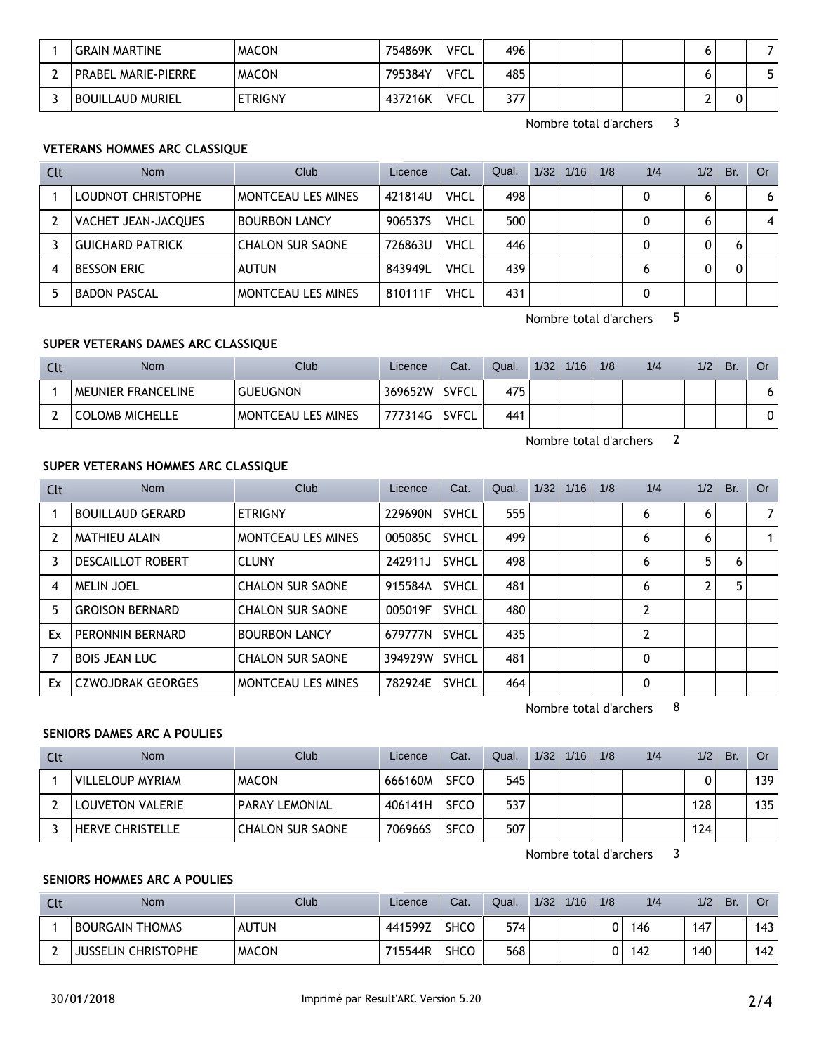| <b>GRAIN MARTINE</b>       | <b>MACON</b>   | 754869K | <b>VFCL</b> | 496 |  |  |  |
|----------------------------|----------------|---------|-------------|-----|--|--|--|
| <b>PRABEL MARIE-PIERRE</b> | <b>MACON</b>   | 795384Y | <b>VFCL</b> | 485 |  |  |  |
| <b>BOUILLAUD MURIEL</b>    | <b>ETRIGNY</b> | 437216K | <b>VFCL</b> | 377 |  |  |  |

Nombre total d'archers 3

## **VETERANS HOMMES ARC CLASSIQUE**

| Clt | <b>Nom</b>              | Club                      | Licence | Cat.        | Qual. | 1/32 | 1/16 | 1/8 | 1/4 | 1/2 | Br. | Or |
|-----|-------------------------|---------------------------|---------|-------------|-------|------|------|-----|-----|-----|-----|----|
|     | LOUDNOT CHRISTOPHE      | <b>MONTCEAU LES MINES</b> | 421814U | <b>VHCL</b> | 498   |      |      |     | 0   |     |     | 6  |
|     | VACHET JEAN-JACQUES     | <b>BOURBON LANCY</b>      | 906537S | <b>VHCL</b> | 500   |      |      |     |     |     |     | 4  |
|     | <b>GUICHARD PATRICK</b> | <b>CHALON SUR SAONE</b>   | 726863U | <b>VHCL</b> | 446   |      |      |     |     | 0   |     |    |
| 4   | <b>BESSON ERIC</b>      | <b>AUTUN</b>              | 843949L | <b>VHCL</b> | 439   |      |      |     | 6   | 0   |     |    |
|     | <b>BADON PASCAL</b>     | <b>MONTCEAU LES MINES</b> | 810111F | <b>VHCL</b> | 431   |      |      |     |     |     |     |    |

Nombre total d'archers 5

## **SUPER VETERANS DAMES ARC CLASSIQUE**

| Clt | <b>Nom</b>             | Club                      | Licence | Cat.         | Qual. | 1/32 | 1/16 | 1/8 | 1/4 | 1/2 | Br. | Or |
|-----|------------------------|---------------------------|---------|--------------|-------|------|------|-----|-----|-----|-----|----|
|     | MEUNIER FRANCELINE     | <b>GUEUGNON</b>           | 369652W | <b>SVFCL</b> | 475   |      |      |     |     |     |     | 6. |
|     | <b>COLOMB MICHELLE</b> | <b>MONTCEAU LES MINES</b> | 777314G | SVFCL        | 441   |      |      |     |     |     |     | 0  |

Nombre total d'archers 2

#### **SUPER VETERANS HOMMES ARC CLASSIQUE**

| Clt            | <b>Nom</b>               | Club                      | Licence | Cat.         | Qual. | $1/32$ $1/16$ | 1/8 | 1/4            | 1/2 | Br. | Or             |
|----------------|--------------------------|---------------------------|---------|--------------|-------|---------------|-----|----------------|-----|-----|----------------|
|                | <b>BOUILLAUD GERARD</b>  | <b>ETRIGNY</b>            | 229690N | <b>SVHCL</b> | 555   |               |     | 6              | 6   |     | 7 <sup>1</sup> |
| $\overline{2}$ | <b>MATHIEU ALAIN</b>     | <b>MONTCEAU LES MINES</b> | 005085C | <b>SVHCL</b> | 499   |               |     | 6              | 6   |     | 1              |
| 3              | <b>DESCAILLOT ROBERT</b> | <b>CLUNY</b>              | 242911J | <b>SVHCL</b> | 498   |               |     | 6              | 5   | 6   |                |
| 4              | <b>MELIN JOEL</b>        | <b>CHALON SUR SAONE</b>   | 915584A | <b>SVHCL</b> | 481   |               |     | 6              | າ   | 5   |                |
| 5              | <b>GROISON BERNARD</b>   | <b>CHALON SUR SAONE</b>   | 005019F | <b>SVHCL</b> | 480   |               |     | 2              |     |     |                |
| Ex             | PERONNIN BERNARD         | <b>BOURBON LANCY</b>      | 679777N | <b>SVHCL</b> | 435   |               |     | $\overline{2}$ |     |     |                |
| 7              | <b>BOIS JEAN LUC</b>     | <b>CHALON SUR SAONE</b>   | 394929W | <b>SVHCL</b> | 481   |               |     | 0              |     |     |                |
| Ex             | <b>CZWOJDRAK GEORGES</b> | <b>MONTCEAU LES MINES</b> | 782924E | <b>SVHCL</b> | 464   |               |     | 0              |     |     |                |

Nombre total d'archers 8

## **SENIORS DAMES ARC A POULIES**

| Clt | Nom                     | Club                    | Licence | Cat.        | Qual. | $1/32$ $1/16$ | 1/8 | 1/4 | 1/2 | Br. | Or  |
|-----|-------------------------|-------------------------|---------|-------------|-------|---------------|-----|-----|-----|-----|-----|
|     | <b>VILLELOUP MYRIAM</b> | <b>MACON</b>            | 666160M | <b>SFCO</b> | 545   |               |     |     |     |     | 139 |
|     | LOUVETON VALERIE        | <b>PARAY LEMONIAL</b>   | 406141H | <b>SFCO</b> | 537   |               |     |     | 128 |     | 135 |
|     | <b>HERVE CHRISTELLE</b> | <b>CHALON SUR SAONE</b> | 706966S | <b>SFCO</b> | 507   |               |     |     | 124 |     |     |

Nombre total d'archers 3

## **SENIORS HOMMES ARC A POULIES**

| Clt | <b>Nom</b>                 | <b>Club</b>  | Licence | Cat.        | Qual. | 1/32 | 1/16 | 1/8 | 1/4 | 1/2 | Br. | Or  |
|-----|----------------------------|--------------|---------|-------------|-------|------|------|-----|-----|-----|-----|-----|
|     | <b>BOURGAIN THOMAS</b>     | <b>AUTUN</b> | 441599Z | <b>SHCC</b> | 574   |      |      | n   | 146 | 147 |     | 143 |
|     | <b>JUSSELIN CHRISTOPHE</b> | <b>MACON</b> | 715544R | <b>SHCC</b> | 568   |      |      | n   | 142 | 140 |     | 142 |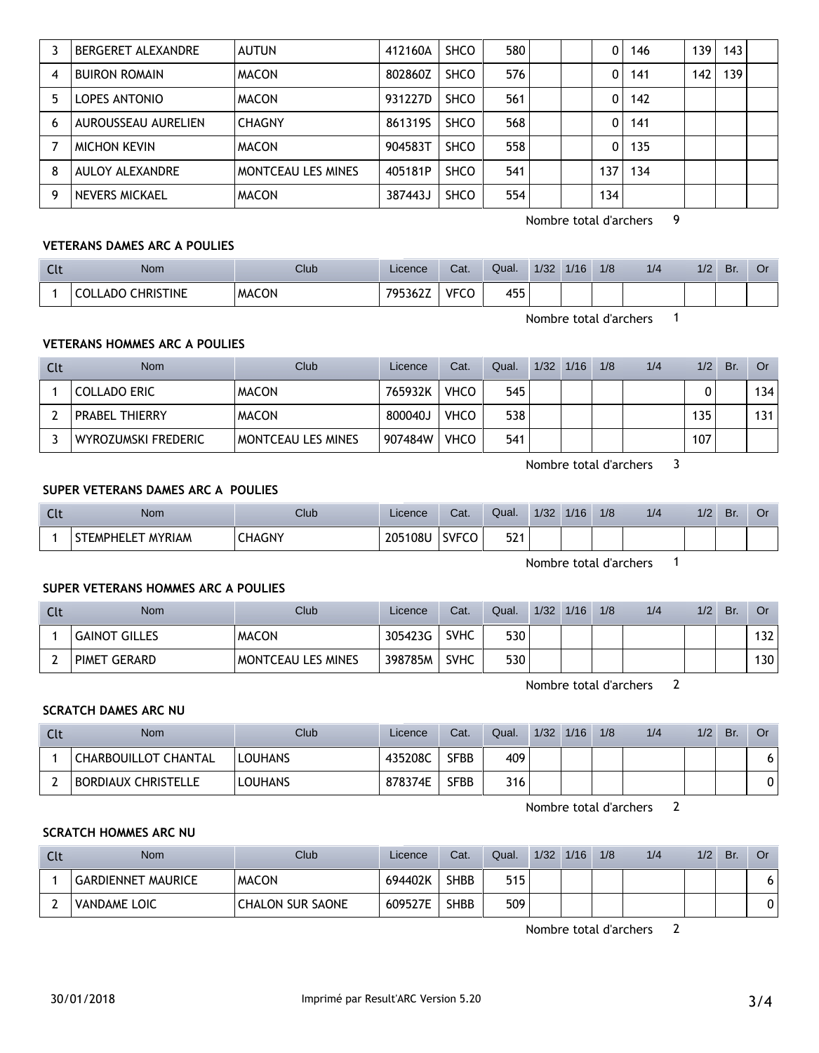|   | BERGERET ALEXANDRE   | <b>AUTUN</b>              | 412160A | <b>SHCO</b> | 580 | 0   | 146 | 139 | 143 |  |
|---|----------------------|---------------------------|---------|-------------|-----|-----|-----|-----|-----|--|
| 4 | <b>BUIRON ROMAIN</b> | <b>MACON</b>              | 802860Z | <b>SHCO</b> | 576 | 0   | 141 | 142 | 139 |  |
| 5 | LOPES ANTONIO        | <b>MACON</b>              | 931227D | <b>SHCO</b> | 561 | 0   | 142 |     |     |  |
| 6 | AUROUSSEAU AURELIEN  | <b>CHAGNY</b>             | 8613195 | <b>SHCO</b> | 568 | 0   | 141 |     |     |  |
|   | <b>MICHON KEVIN</b>  | <b>MACON</b>              | 904583T | <b>SHCO</b> | 558 | 0   | 135 |     |     |  |
| 8 | AULOY ALEXANDRE      | <b>MONTCEAU LES MINES</b> | 405181P | <b>SHCO</b> | 541 | 137 | 134 |     |     |  |
| 9 | NEVERS MICKAEL       | <b>MACON</b>              | 387443J | <b>SHCO</b> | 554 | 134 |     |     |     |  |

Nombre total d'archers 9

#### **VETERANS DAMES ARC A POULIES**

| <b>Clt</b> | Nom                      | Club         | Licence | Cat.        | Qual. | 1/32 | 1/16 | 1/8 | 1/4 | 1/2 | Br. | Оr |
|------------|--------------------------|--------------|---------|-------------|-------|------|------|-----|-----|-----|-----|----|
|            | <b>COLLADO CHRISTINE</b> | <b>MACON</b> | 795362Z | <b>VFCO</b> | 455   |      |      |     |     |     |     |    |

Nombre total d'archers 1

## **VETERANS HOMMES ARC A POULIES**

| <b>Clt</b> | <b>Nom</b>            | Club               | Licence | Cat.        | Qual. | $1/32$ $1/16$ | 1/8 | 1/4 | 1/2 | Br. | <b>Or</b> |
|------------|-----------------------|--------------------|---------|-------------|-------|---------------|-----|-----|-----|-----|-----------|
|            | <b>COLLADO ERIC</b>   | <b>MACON</b>       | 765932K | <b>VHCO</b> | 545   |               |     |     |     |     | 134       |
|            | <b>PRABEL THIERRY</b> | <b>MACON</b>       | 800040J | <b>VHCO</b> | 538   |               |     |     | 135 |     | 131       |
|            | WYROZUMSKI FREDERIC   | MONTCEAU LES MINES | 907484W | <b>VHCO</b> | 541   |               |     |     | 107 |     |           |

Nombre total d'archers 3

#### **SUPER VETERANS DAMES ARC A POULIES**

| <b>Clt</b> | Nom               | $C$ lub       | Licence | Cat.  | Qual.          | 1/32 | 1/16 | 1/8 | 1/2 | 1/2 | Br. |  |
|------------|-------------------|---------------|---------|-------|----------------|------|------|-----|-----|-----|-----|--|
|            | STEMPHELET MYRIAM | <b>CHAGNY</b> | 205108U | SVFCO | 521<br>∽<br>JL |      |      |     |     |     |     |  |

Nombre total d'archers 1

## **SUPER VETERANS HOMMES ARC A POULIES**

| Clt | <b>Nom</b>    | <b>Club</b>               | Licence | Cat.        | Qual. | 1/32 | 1/16 | 1/8 | 1/4 | 1/2 | Br. | Or  |
|-----|---------------|---------------------------|---------|-------------|-------|------|------|-----|-----|-----|-----|-----|
|     | GAINOT GILLES | <b>MACON</b>              | 305423G | <b>SVHC</b> | 530   |      |      |     |     |     |     | 132 |
|     | PIMET GERARD  | <b>MONTCEAU LES MINES</b> | 398785M | <b>SVHC</b> | 530   |      |      |     |     |     |     | 130 |

Nombre total d'archers 2

#### **SCRATCH DAMES ARC NU**

| Clt | <b>Nom</b>                  | Club           | Licence | Cat.        | Qual. | 1/32 | 1/16 | 1/8 | 1/4 | 1/2 | Br. | Or |
|-----|-----------------------------|----------------|---------|-------------|-------|------|------|-----|-----|-----|-----|----|
|     | <b>CHARBOUILLOT CHANTAL</b> | <b>LOUHANS</b> | 435208C | <b>SFBB</b> | 409   |      |      |     |     |     |     |    |
|     | <b>BORDIAUX CHRISTELLE</b>  | <b>LOUHANS</b> | 878374E | SFBB        | 316   |      |      |     |     |     |     |    |

Nombre total d'archers 2

#### **SCRATCH HOMMES ARC NU**

| Clt | Nom                       | Club                    | Licence | Cat.        | Qual. | 1/32 | 1/16 | 1/8 | 1/4 | 1/2 | Br. | Or |
|-----|---------------------------|-------------------------|---------|-------------|-------|------|------|-----|-----|-----|-----|----|
|     | <b>GARDIENNET MAURICE</b> | <b>MACON</b>            | 694402K | <b>SHBB</b> | 515   |      |      |     |     |     |     |    |
|     | VANDAME LOIC              | <b>CHALON SUR SAONE</b> | 609527E | <b>SHBB</b> | 509   |      |      |     |     |     |     | 0  |

Nombre total d'archers 2